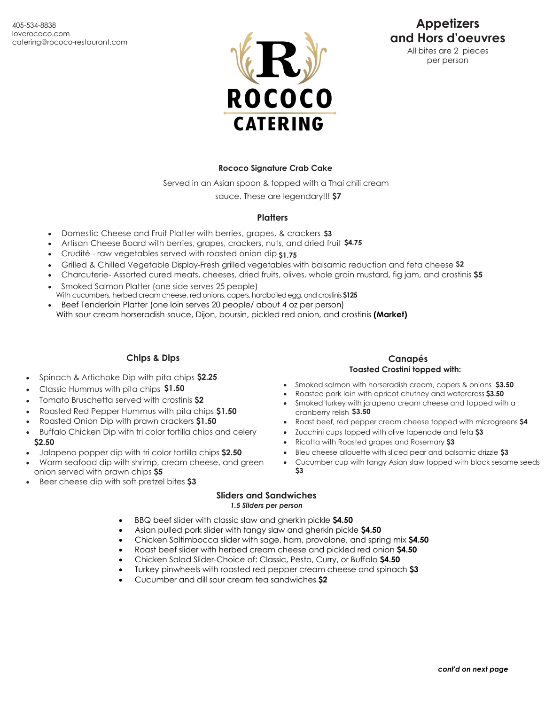

# **Appetizers and Hors d'oeuvres**

All bites are 2 pieces per person

### **Rococo Signature Crab Cake**

Served in an Asian spoon & topped with a Thai chili cream

sauce. These are legendary!!! **\$7** 

### **Platters**

- Domestic Cheese and Fruit Platter with berries, grapes, & crackers **\$3**
- Artisan Cheese Board with berries, grapes, crackers, nuts, and dried fruit **\$4.75**
- Crudité raw vegetables served with roasted onion dip **\$1.75**
- Grilled & Chilled Vegetable Display-Fresh grilled vegetables with balsamic reduction and feta cheese **\$2**
- Charcuterie- Assorted cured meats, cheeses, dried fruits, olives, whole grain mustard, fig jam, and crostinis **\$5**
- Smoked Salmon Platter (one side serves 25 people)
- With cucumbers, herbed cream cheese, red onions, capers, hardboiled egg, and crostinis \$125 • Beef Tenderloin Platter (one loin serves 20 people/ about 4 oz per person)
- With sour cream horseradish sauce, Dijon, boursin, pickled red onion, and crostinis **(Market)**

# **Chips & Dips**

- Spinach & Artichoke Dip with pita chips **\$2.25**
- Classic Hummus with pita chips **\$1.50**
- Tomato Bruschetta served with crostinis **\$2**
- Roasted Red Pepper Hummus with pita chips **\$1.50**
- Roasted Onion Dip with prawn crackers **\$1.50**
- Buffalo Chicken Dip with tri color tortilla chips and celery **\$2.50**
- Jalapeno popper dip with tri color tortilla chips **\$2.50**
- Warm seafood dip with shrimp, cream cheese, and green onion served with prawn chips **\$5**
- Beer cheese dip with soft pretzel bites **\$3**

# **Canapés**

### **Toasted Crostini topped with:**

- Smoked salmon with horseradish cream, capers & onions **\$3.50**
- Roasted pork loin with apricot chutney and watercress **\$3.50**
- Smoked turkey with jalapeno cream cheese and topped with a cranberry relish **\$3.50**
- Roast beef, red pepper cream cheese topped with microgreens **\$4**
- Zucchini cups topped with olive tapenade and feta **\$3**
- Ricotta with Roasted grapes and Rosemary **\$3**
- Bleu cheese allouette with sliced pear and balsamic drizzle **\$3**
- Cucumber cup with tangy Asian slaw topped with black sesame seeds **\$3**
- **Sliders and Sandwiches** *1.5 Sliders per person*
- BBQ beef slider with classic slaw and gherkin pickle **\$4.50**
- Asian pulled pork slider with tangy slaw and gherkin pickle **\$4.50**
- Chicken Saltimbocca slider with sage, ham, provolone, and spring mix **\$4.50**
- Roast beef slider with herbed cream cheese and pickled red onion **\$4.50**
- Chicken Salad Slider-Choice of: Classic, Pesto, Curry, or Buffalo **\$4.50**
- Turkey pinwheels with roasted red pepper cream cheese and spinach **\$3**
- Cucumber and dill sour cream tea sandwiches **\$2**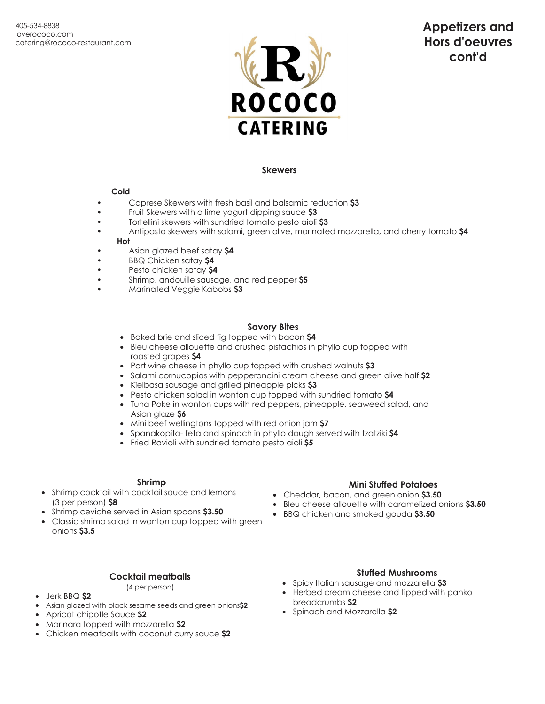

### **Skewers**

#### **Cold**

- Caprese Skewers with fresh basil and balsamic reduction **\$3**
- Fruit Skewers with a lime yogurt dipping sauce **\$3**
- Tortellini skewers with sundried tomato pesto aioli **\$3**
- Antipasto skewers with salami, green olive, marinated mozzarella, and cherry tomato **\$4 Hot**
- Asian glazed beef satay **\$4**
- BBQ Chicken satay **\$4**
- Pesto chicken satay **\$4**
- Shrimp, andouille sausage, and red pepper **\$5**
- Marinated Veggie Kabobs **\$3**

#### **Savory Bites**

- Baked brie and sliced fig topped with bacon **\$4**
- Bleu cheese allouette and crushed pistachios in phyllo cup topped with roasted grapes **\$4**
- Port wine cheese in phyllo cup topped with crushed walnuts **\$3**
- Salami cornucopias with pepperoncini cream cheese and green olive half **\$2**
- Kielbasa sausage and grilled pineapple picks **\$3**
- Pesto chicken salad in wonton cup topped with sundried tomato **\$4**
- Tuna Poke in wonton cups with red peppers, pineapple, seaweed salad, and Asian glaze **\$6**
- Mini beef wellingtons topped with red onion jam **\$7**
- Spanakopita- feta and spinach in phyllo dough served with tzatziki **\$4**
- Fried Ravioli with sundried tomato pesto aioli **\$5**

### **Shrimp**

- Shrimp cocktail with cocktail sauce and lemons (3 per person) **\$8**
- Shrimp ceviche served in Asian spoons **\$3.50**
- Classic shrimp salad in wonton cup topped with green onions **\$3.5**

# **Cocktail meatballs**

(4 per person)

### • Jerk BBQ **\$2**

- Asian glazed with black sesame seeds and green onions**\$2**
- Apricot chipotle Sauce **\$2**
- Marinara topped with mozzarella **\$2**
- Chicken meatballs with coconut curry sauce **\$2**

# **Mini Stuffed Potatoes**

- Cheddar, bacon, and green onion **\$3.50**
- Bleu cheese allouette with caramelized onions **\$3.50**
- BBQ chicken and smoked gouda **\$3.50**

# **Stuffed Mushrooms**

- Spicy Italian sausage and mozzarella **\$3**
- Herbed cream cheese and tipped with panko breadcrumbs **\$2**
- Spinach and Mozzarella **\$2**

# **Appetizers and Hors d'oeuvres cont'd**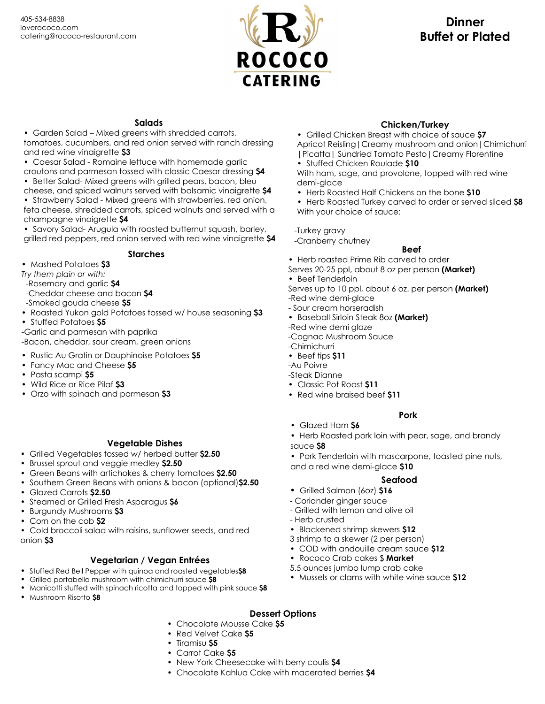

# **Dinner Buffet or Plated**

# **Salads**

• Garden Salad – Mixed greens with shredded carrots, tomatoes, cucumbers, and red onion served with ranch dressing and red wine vinaigrette **\$3**

• Caesar Salad - Romaine lettuce with homemade garlic

croutons and parmesan tossed with classic Caesar dressing **\$4** • Better Salad- Mixed greens with grilled pears, bacon, bleu

cheese, and spiced walnuts served with balsamic vinaigrette **\$4** • Strawberry Salad - Mixed greens with strawberries, red onion,

feta cheese, shredded carrots, spiced walnuts and served with a champagne vinaigrette **\$4**

• Savory Salad- Arugula with roasted butternut squash, barley, grilled red peppers, red onion served with red wine vinaigrette **\$4**

**Starches**

• Mashed Potatoes **\$3**

*Try them plain or with:*

-Rosemary and garlic **\$4**

-Cheddar cheese and bacon **\$4**

-Smoked gouda cheese **\$5**

- Roasted Yukon gold Potatoes tossed w/ house seasoning **\$3**
- Stuffed Potatoes **\$5**

-Garlic and parmesan with paprika

-Bacon, cheddar, sour cream, green onions

- Rustic Au Gratin or Dauphinoise Potatoes **\$5**
- Fancy Mac and Cheese **\$5**
- Pasta scampi **\$5**
- Wild Rice or Rice Pilaf **\$3**
- Orzo with spinach and parmesan **\$3**

# **Vegetable Dishes**

- Grilled Vegetables tossed w/ herbed butter **\$2.50**
- Brussel sprout and veggie medley **\$2.50**
- Green Beans with artichokes & cherry tomatoes **\$2.50**
- Southern Green Beans with onions & bacon (optional)**\$2.50** • Glazed Carrots **\$2.50**
- Steamed or Grilled Fresh Asparagus **\$6**
- Burgundy Mushrooms **\$3**
- Corn on the cob **\$2**

• Cold broccoli salad with raisins, sunflower seeds, and red onion **\$3**

# **Vegetarian / Vegan Entrées**

- Stuffed Red Bell Pepper with quinoa and roasted vegetables**\$8**
- Grilled portabello mushroom with chimichurri sauce **\$8**
- Manicotti stuffed with spinach ricotta and topped with pink sauce **\$8**
- Mushroom Risotto **\$8**

# **Chicken/Turkey**

- Grilled Chicken Breast with choice of sauce **\$7** Apricot Reisling|Creamy mushroom and onion|Chimichurri |Picatta| Sundried Tomato Pesto|Creamy Florentine
- Stuffed Chicken Roulade **\$10**

With ham, sage, and provolone, topped with red wine demi-glace

• Herb Roasted Half Chickens on the bone **\$10**

• Herb Roasted Turkey carved to order or served sliced **\$8** With your choice of sauce:

-Turkey gravy

-Cranberry chutney

# **Beef**

• Herb roasted Prime Rib carved to order

Serves 20-25 ppl, about 8 oz per person **(Market)** • Beef Tenderloin

Serves up to 10 ppl, about 6 oz. per person **(Market)**

-Red wine demi-glace

- Sour cream horseradish

• Baseball Sirloin Steak 8oz **(Market)**

-Red wine demi glaze

-Cognac Mushroom Sauce

-Chimichurri

• Beef tips **\$11**

-Au Poivre

- -Steak Dianne
- Classic Pot Roast **\$11**
- Red wine braised beef **\$11**

# **Pork**

• Glazed Ham **\$6**

• Herb Roasted pork loin with pear, sage, and brandy sauce **\$8**

• Pork Tenderloin with mascarpone, toasted pine nuts, and a red wine demi-glace **\$10**

# **Seafood**

- **•** Grilled Salmon (6oz) **\$16**
- Coriander ginger sauce
- Grilled with lemon and olive oil
- Herb crusted
- Blackened shrimp skewers **\$12**
- 3 shrimp to a skewer (2 per person)
- COD with andouille cream sauce **\$12**
- Rococo Crab cakes \$ **Market**
- 5.5 ounces jumbo lump crab cake
- Mussels or clams with white wine sauce **\$12**

# **Dessert Options**

- Chocolate Mousse Cake **\$5**
- Red Velvet Cake **\$5**
- Tiramisu **\$5**
- Carrot Cake **\$5**
- New York Cheesecake with berry coulis **\$4**
- Chocolate Kahlua Cake with macerated berries **\$4**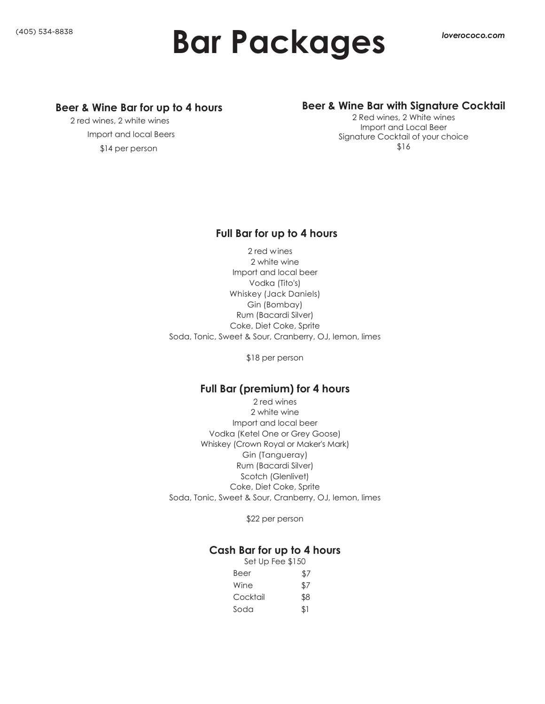# **Bar Packages**

#### *Creative Cuisine with Exceptional Service* **Beer & Wine Bar for up to 4 hours**

2 red wines, 2 white wines  $\sim$  which of our two locations, or go to any go to any go to any go to any go to any go to any go to any go to any go to any go to any go to any go to any go to any go to any go to any go to any go to any go to any go to Import and local Beers Our dedicated staff provides you a large variety of appetizing menu \$14 per person

#### Door a Wing Darwith Cinnat Beer & Wine Bar with Signature Cocktail

Import and Local Beer choices and the above and the available presentation. The available presentation of the available reserves and Signature Cocktail of your choice<br>\$17 2 Red wines, 2 White wines \$16

# **Full Bar for up to 4 hours**

2 red wines 2 white wine Import and local beer Vodka (Tito's) Whiskey (Jack Daniels) Gin (Bombay) Rum (Bacardi Silver) Coke, Diet Coke, Sprite Soda, Tonic, Sweet & Sour, Cranberry, OJ, lemon, limes

\$18 per person

# **Full Bar (premium) for 4 hours**

2 red wines 2 white wine Import and local beer Vodka (Ketel One or Grey Goose) Whiskey (Crown Royal or Maker's Mark) Gin (Tangueray) Rum (Bacardi Silver) Scotch (Glenlivet) Coke, Diet Coke, Sprite Soda, Tonic, Sweet & Sour, Cranberry, OJ, lemon, limes

\$22 per person

# **Cash Bar for up to 4 hours**

| Set Up Fee \$150 |     |
|------------------|-----|
| Beer             | \$7 |
| Wine             | \$7 |
| Cocktail         | \$8 |
| Soda             | \$1 |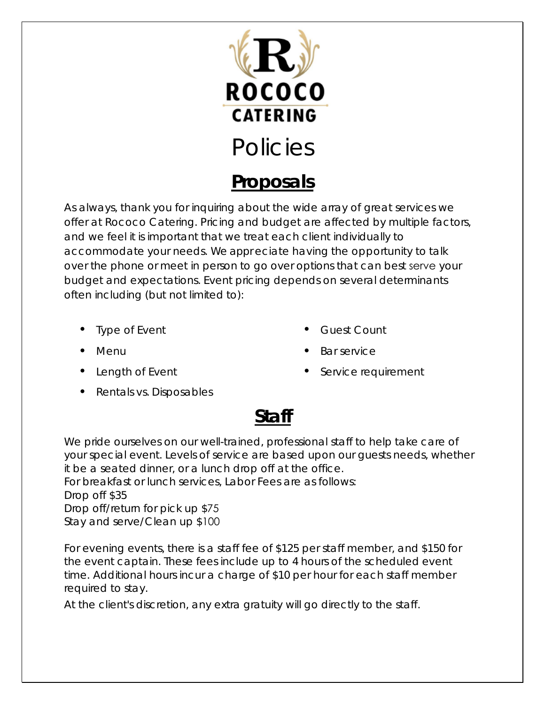

# **Proposals**

As always, thank you for inquiring about the wide array of great services we offer at Rococo Catering. Pricing and budget are affected by multiple factors, and we feel it is important that we treat each client individually to accommodate your needs. We appr eciate having the opportunity to talk over the phone or meet in person to go over options that can best serve your budget and expectations. Event pricing depends on several determinants often including (but not limited to):

- **Type of Event**
- Menu
- Length of Event
- Guest Count
- Bar service
- Service requirement

• Rentals vs. Disposables

# **Staff**

We pride ourselves on our well-trained, professional staff to help take care of your special event. Levels of service are based upon our guests needs, whether it be a seated dinner, or a lunch drop off at the office.

For breakfast or lunch services, Labor Fees are as follows: Drop off \$35 Drop off/return for pick up \$75 Stay and serve/Clean up \$100

For evening events, there is a staff fee of \$125 per staff member, and \$150 for the event captain. These fees include up to 4 hours of the scheduled event time. Additional hours incur a charge of \$10 per hour for each staff member required to stay.

At the client's discretion, any extra gratuity will go directly to the staff.